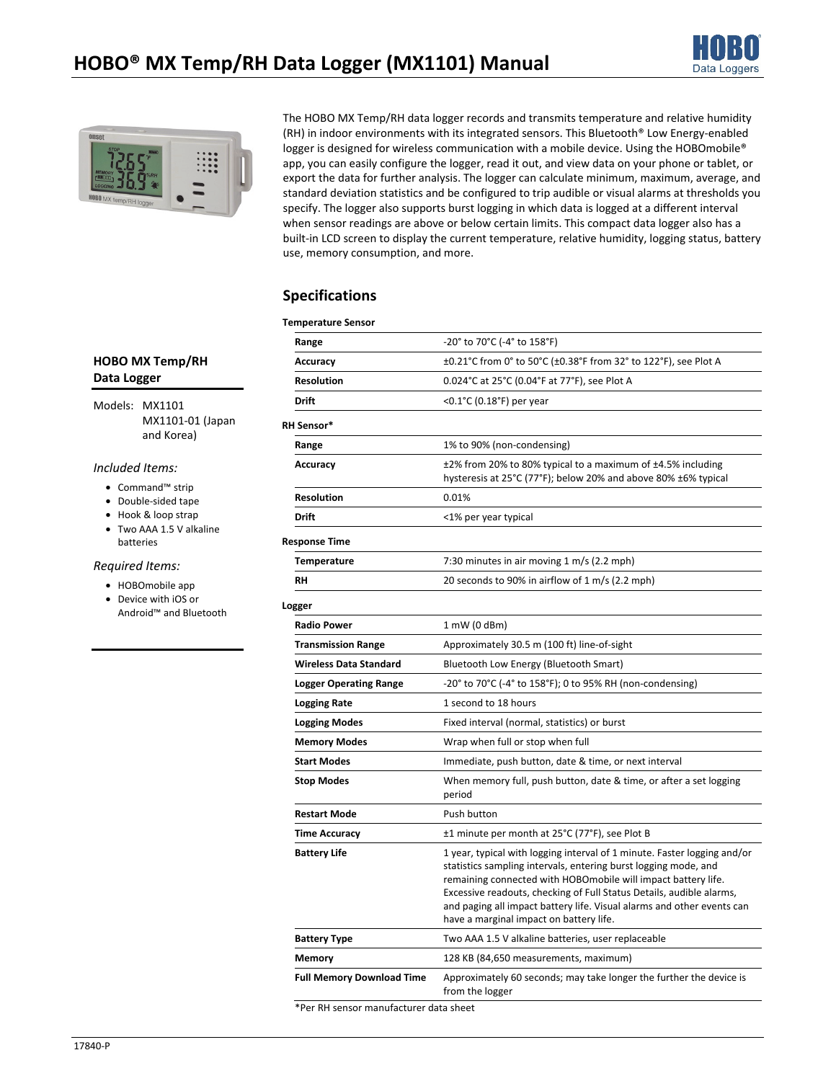



The HOBO MX Temp/RH data logger records and transmits temperature and relative humidity (RH) in indoor environments with its integrated sensors. This Bluetooth® Low Energy-enabled logger is designed for wireless communication with a mobile device. Using the HOBOmobile® app, you can easily configure the logger, read it out, and view data on your phone or tablet, or export the data for further analysis. The logger can calculate minimum, maximum, average, and standard deviation statistics and be configured to trip audible or visual alarms at thresholds you specify. The logger also supports burst logging in which data is logged at a different interval when sensor readings are above or below certain limits. This compact data logger also has a built-in LCD screen to display the current temperature, relative humidity, logging status, battery use, memory consumption, and more.

# **Specifications**

## **Temperature Sensor**

| remperature Jensor               |                                                                                                                                                                                                                                                                                                                                                                                                           |  |
|----------------------------------|-----------------------------------------------------------------------------------------------------------------------------------------------------------------------------------------------------------------------------------------------------------------------------------------------------------------------------------------------------------------------------------------------------------|--|
| Range                            | -20° to 70°C (-4° to 158°F)                                                                                                                                                                                                                                                                                                                                                                               |  |
| Accuracy                         | ±0.21°C from 0° to 50°C (±0.38°F from 32° to 122°F), see Plot A                                                                                                                                                                                                                                                                                                                                           |  |
| <b>Resolution</b>                | 0.024°C at 25°C (0.04°F at 77°F), see Plot A                                                                                                                                                                                                                                                                                                                                                              |  |
| Drift                            | <0.1°C (0.18°F) per year                                                                                                                                                                                                                                                                                                                                                                                  |  |
| <b>RH Sensor*</b>                |                                                                                                                                                                                                                                                                                                                                                                                                           |  |
| Range                            | 1% to 90% (non-condensing)                                                                                                                                                                                                                                                                                                                                                                                |  |
| Accuracy                         | ±2% from 20% to 80% typical to a maximum of ±4.5% including<br>hysteresis at 25°C (77°F); below 20% and above 80% ±6% typical                                                                                                                                                                                                                                                                             |  |
| <b>Resolution</b>                | 0.01%                                                                                                                                                                                                                                                                                                                                                                                                     |  |
| Drift                            | <1% per year typical                                                                                                                                                                                                                                                                                                                                                                                      |  |
| <b>Response Time</b>             |                                                                                                                                                                                                                                                                                                                                                                                                           |  |
| <b>Temperature</b>               | 7:30 minutes in air moving 1 m/s (2.2 mph)                                                                                                                                                                                                                                                                                                                                                                |  |
| RH                               | 20 seconds to 90% in airflow of 1 m/s (2.2 mph)                                                                                                                                                                                                                                                                                                                                                           |  |
| Logger                           |                                                                                                                                                                                                                                                                                                                                                                                                           |  |
| <b>Radio Power</b>               | $1$ mW (0 dBm)                                                                                                                                                                                                                                                                                                                                                                                            |  |
| <b>Transmission Range</b>        | Approximately 30.5 m (100 ft) line-of-sight                                                                                                                                                                                                                                                                                                                                                               |  |
| <b>Wireless Data Standard</b>    | Bluetooth Low Energy (Bluetooth Smart)<br>-20° to 70°C (-4° to 158°F); 0 to 95% RH (non-condensing)                                                                                                                                                                                                                                                                                                       |  |
| <b>Logger Operating Range</b>    |                                                                                                                                                                                                                                                                                                                                                                                                           |  |
| <b>Logging Rate</b>              | 1 second to 18 hours                                                                                                                                                                                                                                                                                                                                                                                      |  |
| <b>Logging Modes</b>             | Fixed interval (normal, statistics) or burst                                                                                                                                                                                                                                                                                                                                                              |  |
| <b>Memory Modes</b>              | Wrap when full or stop when full                                                                                                                                                                                                                                                                                                                                                                          |  |
| <b>Start Modes</b>               | Immediate, push button, date & time, or next interval                                                                                                                                                                                                                                                                                                                                                     |  |
| <b>Stop Modes</b>                | When memory full, push button, date & time, or after a set logging<br>period                                                                                                                                                                                                                                                                                                                              |  |
| <b>Restart Mode</b>              | Push button                                                                                                                                                                                                                                                                                                                                                                                               |  |
| <b>Time Accuracy</b>             | ±1 minute per month at 25°C (77°F), see Plot B                                                                                                                                                                                                                                                                                                                                                            |  |
| <b>Battery Life</b>              | 1 year, typical with logging interval of 1 minute. Faster logging and/or<br>statistics sampling intervals, entering burst logging mode, and<br>remaining connected with HOBOmobile will impact battery life.<br>Excessive readouts, checking of Full Status Details, audible alarms,<br>and paging all impact battery life. Visual alarms and other events can<br>have a marginal impact on battery life. |  |
| <b>Battery Type</b>              | Two AAA 1.5 V alkaline batteries, user replaceable                                                                                                                                                                                                                                                                                                                                                        |  |
| <b>Memory</b>                    | 128 KB (84,650 measurements, maximum)                                                                                                                                                                                                                                                                                                                                                                     |  |
| <b>Full Memory Download Time</b> | Approximately 60 seconds; may take longer the further the device is<br>from the logger                                                                                                                                                                                                                                                                                                                    |  |
|                                  |                                                                                                                                                                                                                                                                                                                                                                                                           |  |

## **HOBO MX Temp/RH Data Logger**

Models: MX1101 MX1101-01 (Japan and Korea)

## *Included Items:*

- Command™ strip
- Double-sided tape
- Hook & loop strap
- Two AAA 1.5 V alkaline batteries

## *Required Items:*

- HOBOmobile app
- Device with iOS or Android™ and Bluetooth

\*Per RH sensor manufacturer data sheet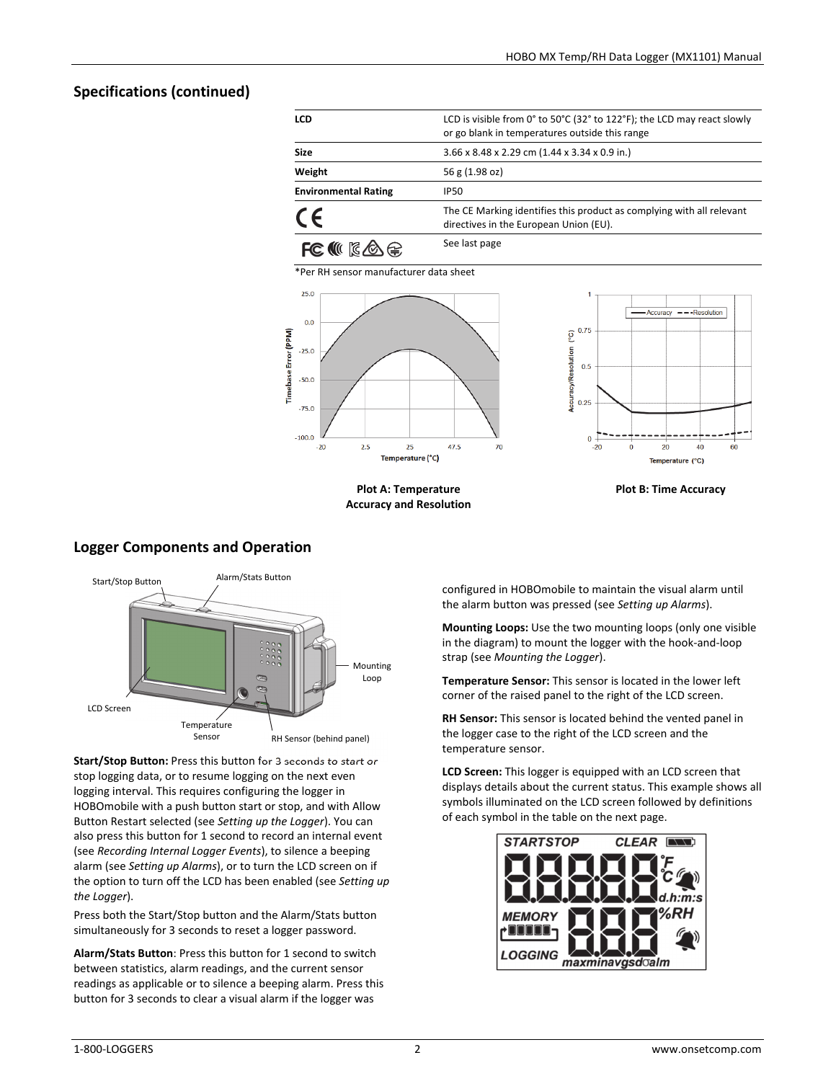# **Specifications (continued)**

| <b>LCD</b>                  | LCD is visible from 0° to 50°C (32° to 122°F); the LCD may react slowly<br>or go blank in temperatures outside this range |
|-----------------------------|---------------------------------------------------------------------------------------------------------------------------|
| <b>Size</b>                 | $3.66 \times 8.48 \times 2.29$ cm (1.44 x 3.34 x 0.9 in.)                                                                 |
| Weight                      | 56 g (1.98 oz)                                                                                                            |
| <b>Environmental Rating</b> | <b>IP50</b>                                                                                                               |
| CE                          | The CE Marking identifies this product as complying with all relevant<br>directives in the European Union (EU).           |
|                             | See last page                                                                                                             |

\*Per RH sensor manufacturer data sheet





**Plot A: Temperature Accuracy and Resolution** 



## **Logger Components and Operation**



**Start/Stop Button:** Press this button for 3 seconds to start or stop logging data, or to resume logging on the next even logging interval. This requires configuring the logger in HOBOmobile with a push button start or stop, and with Allow Button Restart selected (see *Setting up the Logger*). You can also press this button for 1 second to record an internal event (see *Recording Internal Logger Events*), to silence a beeping alarm (see *Setting up Alarms*), or to turn the LCD screen on if the option to turn off the LCD has been enabled (see *Setting up the Logger*).

Press both the Start/Stop button and the Alarm/Stats button simultaneously for 3 seconds to reset a logger password.

**Alarm/Stats Button**: Press this button for 1 second to switch between statistics, alarm readings, and the current sensor readings as applicable or to silence a beeping alarm. Press this button for 3 seconds to clear a visual alarm if the logger was

configured in HOBOmobile to maintain the visual alarm until the alarm button was pressed (see *Setting up Alarms*).

**Mounting Loops:** Use the two mounting loops (only one visible in the diagram) to mount the logger with the hook-and-loop strap (see *Mounting the Logger*).

**Temperature Sensor:** This sensor is located in the lower left corner of the raised panel to the right of the LCD screen.

**RH Sensor:** This sensor is located behind the vented panel in the logger case to the right of the LCD screen and the temperature sensor.

**LCD Screen:** This logger is equipped with an LCD screen that displays details about the current status. This example shows all symbols illuminated on the LCD screen followed by definitions of each symbol in the table on the next page.

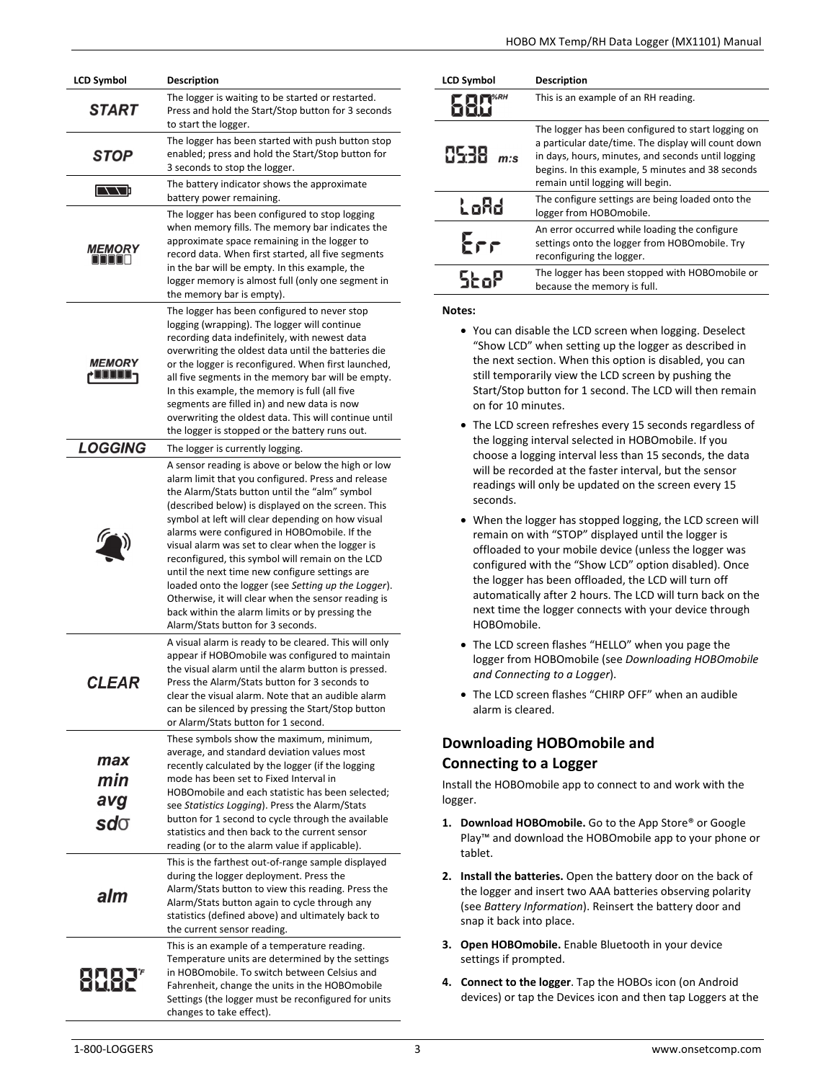| LCD Symbol                   | <b>Description</b>                                                                                                                                                                                                                                                                                                                                                                                                                                                                                                                                                                                                                                                                   |
|------------------------------|--------------------------------------------------------------------------------------------------------------------------------------------------------------------------------------------------------------------------------------------------------------------------------------------------------------------------------------------------------------------------------------------------------------------------------------------------------------------------------------------------------------------------------------------------------------------------------------------------------------------------------------------------------------------------------------|
| <b>START</b>                 | The logger is waiting to be started or restarted.<br>Press and hold the Start/Stop button for 3 seconds<br>to start the logger.                                                                                                                                                                                                                                                                                                                                                                                                                                                                                                                                                      |
| STOP                         | The logger has been started with push button stop<br>enabled; press and hold the Start/Stop button for<br>3 seconds to stop the logger.                                                                                                                                                                                                                                                                                                                                                                                                                                                                                                                                              |
| <b>INNIE</b>                 | The battery indicator shows the approximate<br>battery power remaining.                                                                                                                                                                                                                                                                                                                                                                                                                                                                                                                                                                                                              |
| <i><b>MEMORY</b></i><br>nnnn | The logger has been configured to stop logging<br>when memory fills. The memory bar indicates the<br>approximate space remaining in the logger to<br>record data. When first started, all five segments<br>in the bar will be empty. In this example, the<br>logger memory is almost full (only one segment in<br>the memory bar is empty).                                                                                                                                                                                                                                                                                                                                          |
| <b>MEMORY</b><br>JOOOO-      | The logger has been configured to never stop<br>logging (wrapping). The logger will continue<br>recording data indefinitely, with newest data<br>overwriting the oldest data until the batteries die<br>or the logger is reconfigured. When first launched,<br>all five segments in the memory bar will be empty.<br>In this example, the memory is full (all five<br>segments are filled in) and new data is now<br>overwriting the oldest data. This will continue until<br>the logger is stopped or the battery runs out.                                                                                                                                                         |
| <b>LOGGING</b>               | The logger is currently logging.                                                                                                                                                                                                                                                                                                                                                                                                                                                                                                                                                                                                                                                     |
|                              | A sensor reading is above or below the high or low<br>alarm limit that you configured. Press and release<br>the Alarm/Stats button until the "alm" symbol<br>(described below) is displayed on the screen. This<br>symbol at left will clear depending on how visual<br>alarms were configured in HOBOmobile. If the<br>visual alarm was set to clear when the logger is<br>reconfigured, this symbol will remain on the LCD<br>until the next time new configure settings are<br>loaded onto the logger (see Setting up the Logger).<br>Otherwise, it will clear when the sensor reading is<br>back within the alarm limits or by pressing the<br>Alarm/Stats button for 3 seconds. |
| CLEAR                        | A visual alarm is ready to be cleared. This will only<br>appear if HOBOmobile was configured to maintain<br>the visual alarm until the alarm button is pressed.<br>Press the Alarm/Stats button for 3 seconds to<br>clear the visual alarm. Note that an audible alarm<br>can be silenced by pressing the Start/Stop button<br>or Alarm/Stats button for 1 second.                                                                                                                                                                                                                                                                                                                   |
| max<br>min                   | These symbols show the maximum, minimum,<br>average, and standard deviation values most<br>recently calculated by the logger (if the logging<br>mode has been set to Fixed Interval in<br>HOBO mobile and each statistic has been selected;                                                                                                                                                                                                                                                                                                                                                                                                                                          |
| avg<br>$sd\sigma$            | see Statistics Logging). Press the Alarm/Stats<br>button for 1 second to cycle through the available<br>statistics and then back to the current sensor                                                                                                                                                                                                                                                                                                                                                                                                                                                                                                                               |
| alm                          | reading (or to the alarm value if applicable).<br>This is the farthest out-of-range sample displayed<br>during the logger deployment. Press the<br>Alarm/Stats button to view this reading. Press the<br>Alarm/Stats button again to cycle through any<br>statistics (defined above) and ultimately back to<br>the current sensor reading.                                                                                                                                                                                                                                                                                                                                           |
|                              | This is an example of a temperature reading.<br>Temperature units are determined by the settings<br>in HOBOmobile. To switch between Celsius and<br>Fahrenheit, change the units in the HOBOmobile<br>Settings (the logger must be reconfigured for units<br>changes to take effect).                                                                                                                                                                                                                                                                                                                                                                                                |

| <b>LCD Symbol</b> | <b>Description</b>                                                                                                                                                                                                                                       |
|-------------------|----------------------------------------------------------------------------------------------------------------------------------------------------------------------------------------------------------------------------------------------------------|
|                   | This is an example of an RH reading.                                                                                                                                                                                                                     |
| 8538              | The logger has been configured to start logging on<br>a particular date/time. The display will count down<br>in days, hours, minutes, and seconds until logging<br>begins. In this example, 5 minutes and 38 seconds<br>remain until logging will begin. |
| LoAd              | The configure settings are being loaded onto the<br>logger from HOBOmobile.                                                                                                                                                                              |
| $F_{\Gamma}$      | An error occurred while loading the configure<br>settings onto the logger from HOBOmobile. Try<br>reconfiguring the logger.                                                                                                                              |
|                   | The logger has been stopped with HOBOmobile or<br>because the memory is full.                                                                                                                                                                            |
|                   |                                                                                                                                                                                                                                                          |

**Notes:** 

- You can disable the LCD screen when logging. Deselect "Show LCD" when setting up the logger as described in the next section. When this option is disabled, you can still temporarily view the LCD screen by pushing the Start/Stop button for 1 second. The LCD will then remain on for 10 minutes.
- The LCD screen refreshes every 15 seconds regardless of the logging interval selected in HOBOmobile. If you choose a logging interval less than 15 seconds, the data will be recorded at the faster interval, but the sensor readings will only be updated on the screen every 15 seconds.
- When the logger has stopped logging, the LCD screen will remain on with "STOP" displayed until the logger is offloaded to your mobile device (unless the logger was configured with the "Show LCD" option disabled). Once the logger has been offloaded, the LCD will turn off automatically after 2 hours. The LCD will turn back on the next time the logger connects with your device through HOBOmobile.
- The LCD screen flashes "HELLO" when you page the logger from HOBOmobile (see *Downloading HOBOmobile and Connecting to a Logger*).
- The LCD screen flashes "CHIRP OFF" when an audible alarm is cleared.

# **Downloading HOBOmobile and Connecting to a Logger**

Install the HOBOmobile app to connect to and work with the logger.

- **1. Download HOBOmobile.** Go to the App Store® or Google Play™ and download the HOBOmobile app to your phone or tablet.
- **2. Install the batteries.** Open the battery door on the back of the logger and insert two AAA batteries observing polarity (see *Battery Information*). Reinsert the battery door and snap it back into place.
- **3. Open HOBOmobile.** Enable Bluetooth in your device settings if prompted.
- **4. Connect to the logger**. Tap the HOBOs icon (on Android devices) or tap the Devices icon and then tap Loggers at the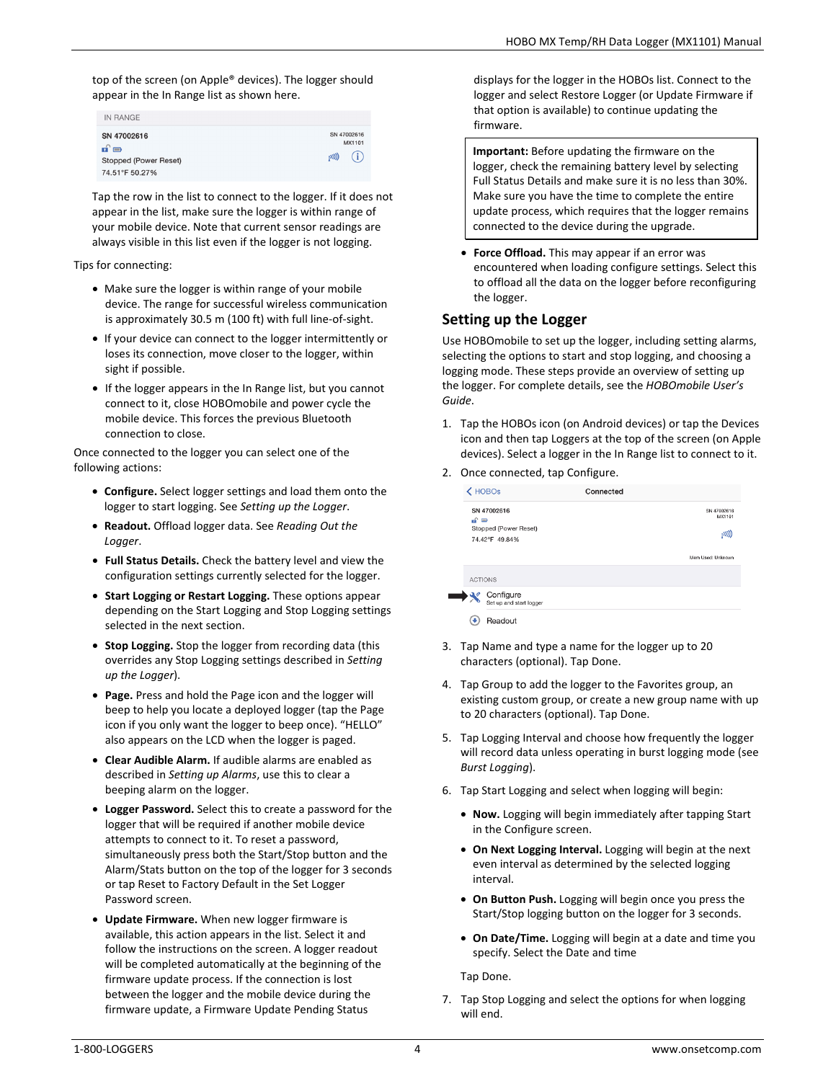top of the screen (on Apple® devices). The logger should appear in the In Range list as shown here.

| IN RANGE                      |                       |
|-------------------------------|-----------------------|
| SN 47002616                   | SN 47002616<br>MX1101 |
| nî e<br>Stopped (Power Reset) | (i<br>(00)            |
| 74.51°F 50.27%                |                       |

Tap the row in the list to connect to the logger. If it does not appear in the list, make sure the logger is within range of your mobile device. Note that current sensor readings are always visible in this list even if the logger is not logging.

Tips for connecting:

- Make sure the logger is within range of your mobile device. The range for successful wireless communication is approximately 30.5 m (100 ft) with full line-of-sight.
- If your device can connect to the logger intermittently or loses its connection, move closer to the logger, within sight if possible.
- If the logger appears in the In Range list, but you cannot connect to it, close HOBOmobile and power cycle the mobile device. This forces the previous Bluetooth connection to close.

Once connected to the logger you can select one of the following actions:

- **Configure.** Select logger settings and load them onto the logger to start logging. See *Setting up the Logger*.
- **Readout.** Offload logger data. See *Reading Out the Logger*.
- **Full Status Details.** Check the battery level and view the configuration settings currently selected for the logger.
- **Start Logging or Restart Logging.** These options appear depending on the Start Logging and Stop Logging settings selected in the next section.
- **Stop Logging.** Stop the logger from recording data (this overrides any Stop Logging settings described in *Setting up the Logger*).
- **Page.** Press and hold the Page icon and the logger will beep to help you locate a deployed logger (tap the Page icon if you only want the logger to beep once). "HELLO" also appears on the LCD when the logger is paged.
- **Clear Audible Alarm.** If audible alarms are enabled as described in *Setting up Alarms*, use this to clear a beeping alarm on the logger.
- **Logger Password.** Select this to create a password for the logger that will be required if another mobile device attempts to connect to it. To reset a password, simultaneously press both the Start/Stop button and the Alarm/Stats button on the top of the logger for 3 seconds or tap Reset to Factory Default in the Set Logger Password screen.
- **Update Firmware.** When new logger firmware is available, this action appears in the list. Select it and follow the instructions on the screen. A logger readout will be completed automatically at the beginning of the firmware update process. If the connection is lost between the logger and the mobile device during the firmware update, a Firmware Update Pending Status

displays for the logger in the HOBOs list. Connect to the logger and select Restore Logger (or Update Firmware if that option is available) to continue updating the firmware.

**Important:** Before updating the firmware on the logger, check the remaining battery level by selecting Full Status Details and make sure it is no less than 30%. Make sure you have the time to complete the entire update process, which requires that the logger remains connected to the device during the upgrade.

• **Force Offload.** This may appear if an error was encountered when loading configure settings. Select this to offload all the data on the logger before reconfiguring the logger.

## **Setting up the Logger**

Use HOBOmobile to set up the logger, including setting alarms, selecting the options to start and stop logging, and choosing a logging mode. These steps provide an overview of setting up the logger. For complete details, see the *HOBOmobile User's Guide*.

- 1. Tap the HOBOs icon (on Android devices) or tap the Devices icon and then tap Loggers at the top of the screen (on Apple devices). Select a logger in the In Range list to connect to it.
- 2. Once connected, tap Configure.

|                             | $\langle$ HOBOs                         | Connected |                       |
|-----------------------------|-----------------------------------------|-----------|-----------------------|
|                             | SN 47002616                             |           | SN 47002616<br>MX1101 |
| $\mathbf{r} \in \mathbb{R}$ | Stopped (Power Reset)<br>74.42°F 49.84% |           | [00]                  |
|                             |                                         |           | Mem Used: Unknown     |
| <b>ACTIONS</b>              |                                         |           |                       |
|                             | Configure<br>Set up and start logger    |           |                       |
| ×                           | <b>Readout</b>                          |           |                       |

- 3. Tap Name and type a name for the logger up to 20 characters (optional). Tap Done.
- 4. Tap Group to add the logger to the Favorites group, an existing custom group, or create a new group name with up to 20 characters (optional). Tap Done.
- 5. Tap Logging Interval and choose how frequently the logger will record data unless operating in burst logging mode (see *Burst Logging*).
- 6. Tap Start Logging and select when logging will begin:
	- **Now.** Logging will begin immediately after tapping Start in the Configure screen.
	- **On Next Logging Interval.** Logging will begin at the next even interval as determined by the selected logging interval.
	- **On Button Push.** Logging will begin once you press the Start/Stop logging button on the logger for 3 seconds.
	- **On Date/Time.** Logging will begin at a date and time you specify. Select the Date and time

Tap Done.

7. Tap Stop Logging and select the options for when logging will end.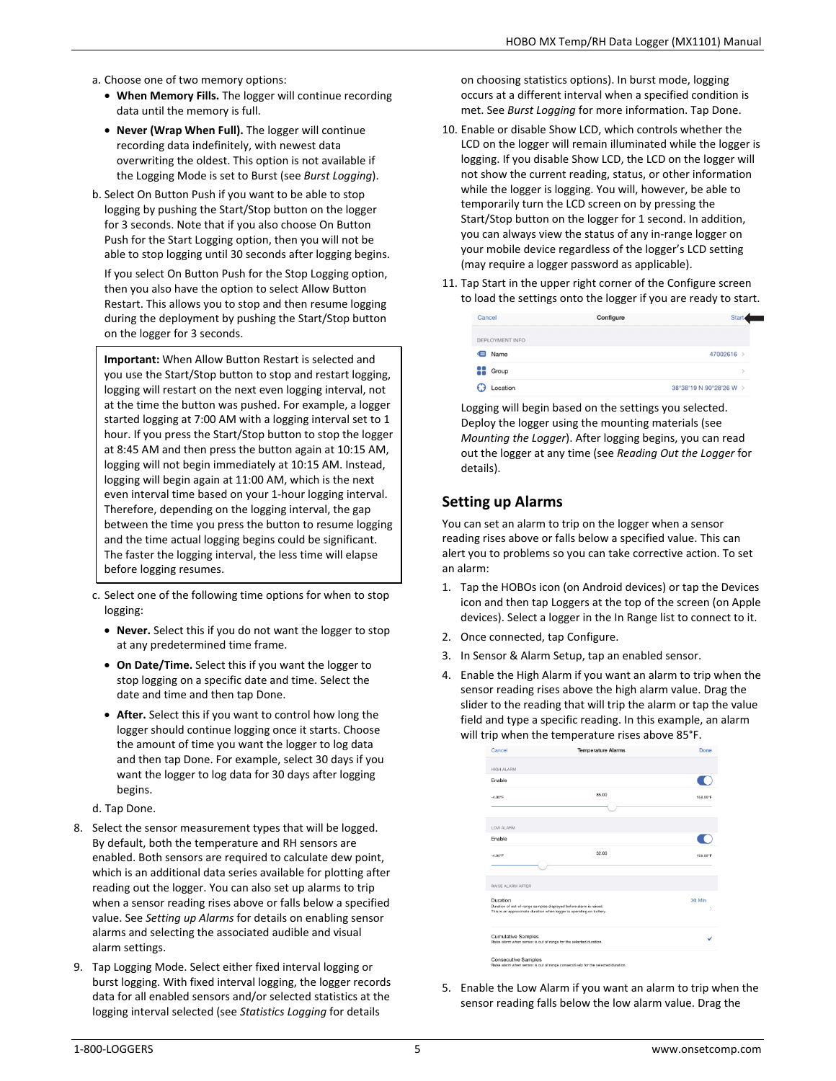- a. Choose one of two memory options:
	- **When Memory Fills.** The logger will continue recording data until the memory is full.
	- **Never (Wrap When Full).** The logger will continue recording data indefinitely, with newest data overwriting the oldest. This option is not available if the Logging Mode is set to Burst (see *Burst Logging*).
- b. Select On Button Push if you want to be able to stop logging by pushing the Start/Stop button on the logger for 3 seconds. Note that if you also choose On Button Push for the Start Logging option, then you will not be able to stop logging until 30 seconds after logging begins. If you select On Button Push for the Stop Logging option, then you also have the option to select Allow Button Restart. This allows you to stop and then resume logging during the deployment by pushing the Start/Stop button on the logger for 3 seconds.

**Important:** When Allow Button Restart is selected and you use the Start/Stop button to stop and restart logging, logging will restart on the next even logging interval, not at the time the button was pushed. For example, a logger started logging at 7:00 AM with a logging interval set to 1 hour. If you press the Start/Stop button to stop the logger at 8:45 AM and then press the button again at 10:15 AM, logging will not begin immediately at 10:15 AM. Instead, logging will begin again at 11:00 AM, which is the next even interval time based on your 1-hour logging interval. Therefore, depending on the logging interval, the gap between the time you press the button to resume logging and the time actual logging begins could be significant. The faster the logging interval, the less time will elapse before logging resumes.

- c. Select one of the following time options for when to stop logging:
	- **Never.** Select this if you do not want the logger to stop at any predetermined time frame.
	- **On Date/Time.** Select this if you want the logger to stop logging on a specific date and time. Select the date and time and then tap Done.
	- **After.** Select this if you want to control how long the logger should continue logging once it starts. Choose the amount of time you want the logger to log data and then tap Done. For example, select 30 days if you want the logger to log data for 30 days after logging begins.
- d. Tap Done.
- 8. Select the sensor measurement types that will be logged. By default, both the temperature and RH sensors are enabled. Both sensors are required to calculate dew point, which is an additional data series available for plotting after reading out the logger. You can also set up alarms to trip when a sensor reading rises above or falls below a specified value. See *Setting up Alarms* for details on enabling sensor alarms and selecting the associated audible and visual alarm settings.
- 9. Tap Logging Mode. Select either fixed interval logging or burst logging. With fixed interval logging, the logger records data for all enabled sensors and/or selected statistics at the logging interval selected (see *Statistics Logging* for details

on choosing statistics options). In burst mode, logging occurs at a different interval when a specified condition is met. See *Burst Logging* for more information. Tap Done.

- 10. Enable or disable Show LCD, which controls whether the LCD on the logger will remain illuminated while the logger is logging. If you disable Show LCD, the LCD on the logger will not show the current reading, status, or other information while the logger is logging. You will, however, be able to temporarily turn the LCD screen on by pressing the Start/Stop button on the logger for 1 second. In addition, you can always view the status of any in-range logger on your mobile device regardless of the logger's LCD setting (may require a logger password as applicable).
- 11. Tap Start in the upper right corner of the Configure screen to load the settings onto the logger if you are ready to start.

| Cancel          | Configure | Start                   |
|-----------------|-----------|-------------------------|
| DEPLOYMENT INFO |           |                         |
| Name            |           | 47002616 >              |
| 88<br>Group     |           |                         |
| Location        |           | 38°38'19 N 90°28'26 W > |

Logging will begin based on the settings you selected. Deploy the logger using the mounting materials (see *Mounting the Logger*). After logging begins, you can read out the logger at any time (see *Reading Out the Logger* for details).

# **Setting up Alarms**

You can set an alarm to trip on the logger when a sensor reading rises above or falls below a specified value. This can alert you to problems so you can take corrective action. To set an alarm:

- 1. Tap the HOBOs icon (on Android devices) or tap the Devices icon and then tap Loggers at the top of the screen (on Apple devices). Select a logger in the In Range list to connect to it.
- 2. Once connected, tap Configure.
- 3. In Sensor & Alarm Setup, tap an enabled sensor.
- 4. Enable the High Alarm if you want an alarm to trip when the sensor reading rises above the high alarm value. Drag the slider to the reading that will trip the alarm or tap the value field and type a specific reading. In this example, an alarm will trip when the temperature rises above 85°F.

|                                                                                                                                            | Done                      |
|--------------------------------------------------------------------------------------------------------------------------------------------|---------------------------|
|                                                                                                                                            |                           |
|                                                                                                                                            |                           |
|                                                                                                                                            |                           |
| 85.00                                                                                                                                      | 158.00°F                  |
|                                                                                                                                            |                           |
|                                                                                                                                            |                           |
|                                                                                                                                            |                           |
| 32.00                                                                                                                                      | 158.00°F                  |
|                                                                                                                                            |                           |
|                                                                                                                                            |                           |
|                                                                                                                                            | 30 Min                    |
| Duration of out-of-range samples displayed before alarm is raised.<br>This is an approximate duration when logger is operating on battery. |                           |
|                                                                                                                                            |                           |
|                                                                                                                                            | <b>Temperature Alarms</b> |

5. Enable the Low Alarm if you want an alarm to trip when the sensor reading falls below the low alarm value. Drag the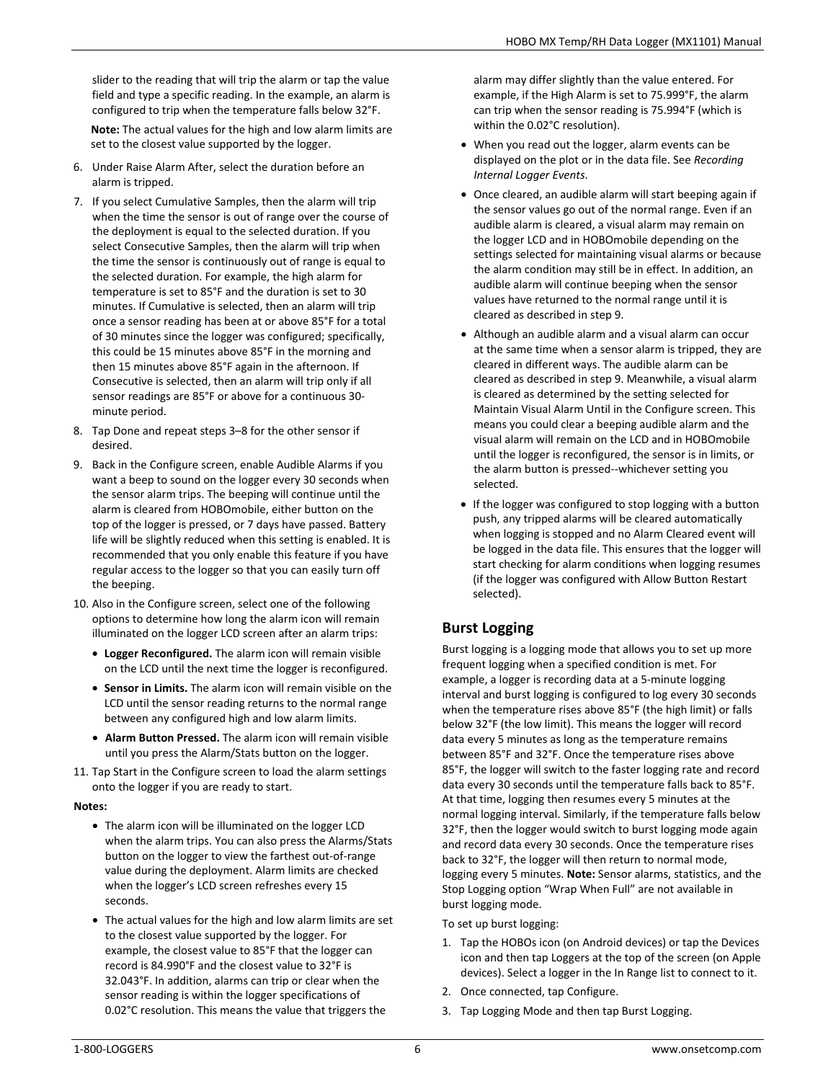slider to the reading that will trip the alarm or tap the value field and type a specific reading. In the example, an alarm is configured to trip when the temperature falls below 32°F.

**Note:** The actual values for the high and low alarm limits are set to the closest value supported by the logger.

- 6. Under Raise Alarm After, select the duration before an alarm is tripped.
- 7. If you select Cumulative Samples, then the alarm will trip when the time the sensor is out of range over the course of the deployment is equal to the selected duration. If you select Consecutive Samples, then the alarm will trip when the time the sensor is continuously out of range is equal to the selected duration. For example, the high alarm for temperature is set to 85°F and the duration is set to 30 minutes. If Cumulative is selected, then an alarm will trip once a sensor reading has been at or above 85°F for a total of 30 minutes since the logger was configured; specifically, this could be 15 minutes above 85°F in the morning and then 15 minutes above 85°F again in the afternoon. If Consecutive is selected, then an alarm will trip only if all sensor readings are 85°F or above for a continuous 30 minute period.
- 8. Tap Done and repeat steps 3–8 for the other sensor if desired.
- 9. Back in the Configure screen, enable Audible Alarms if you want a beep to sound on the logger every 30 seconds when the sensor alarm trips. The beeping will continue until the alarm is cleared from HOBOmobile, either button on the top of the logger is pressed, or 7 days have passed. Battery life will be slightly reduced when this setting is enabled. It is recommended that you only enable this feature if you have regular access to the logger so that you can easily turn off the beeping.
- 10. Also in the Configure screen, select one of the following options to determine how long the alarm icon will remain illuminated on the logger LCD screen after an alarm trips:
	- **Logger Reconfigured.** The alarm icon will remain visible on the LCD until the next time the logger is reconfigured.
	- **Sensor in Limits.** The alarm icon will remain visible on the LCD until the sensor reading returns to the normal range between any configured high and low alarm limits.
	- **Alarm Button Pressed.** The alarm icon will remain visible until you press the Alarm/Stats button on the logger.
- 11. Tap Start in the Configure screen to load the alarm settings onto the logger if you are ready to start.

## **Notes:**

- The alarm icon will be illuminated on the logger LCD when the alarm trips. You can also press the Alarms/Stats button on the logger to view the farthest out-of-range value during the deployment. Alarm limits are checked when the logger's LCD screen refreshes every 15 seconds.
- The actual values for the high and low alarm limits are set to the closest value supported by the logger. For example, the closest value to 85°F that the logger can record is 84.990°F and the closest value to 32°F is 32.043°F. In addition, alarms can trip or clear when the sensor reading is within the logger specifications of 0.02°C resolution. This means the value that triggers the

alarm may differ slightly than the value entered. For example, if the High Alarm is set to 75.999°F, the alarm can trip when the sensor reading is 75.994°F (which is within the 0.02°C resolution).

- When you read out the logger, alarm events can be displayed on the plot or in the data file. See *Recording Internal Logger Events*.
- Once cleared, an audible alarm will start beeping again if the sensor values go out of the normal range. Even if an audible alarm is cleared, a visual alarm may remain on the logger LCD and in HOBOmobile depending on the settings selected for maintaining visual alarms or because the alarm condition may still be in effect. In addition, an audible alarm will continue beeping when the sensor values have returned to the normal range until it is cleared as described in step 9.
- Although an audible alarm and a visual alarm can occur at the same time when a sensor alarm is tripped, they are cleared in different ways. The audible alarm can be cleared as described in step 9. Meanwhile, a visual alarm is cleared as determined by the setting selected for Maintain Visual Alarm Until in the Configure screen. This means you could clear a beeping audible alarm and the visual alarm will remain on the LCD and in HOBOmobile until the logger is reconfigured, the sensor is in limits, or the alarm button is pressed--whichever setting you selected.
- If the logger was configured to stop logging with a button push, any tripped alarms will be cleared automatically when logging is stopped and no Alarm Cleared event will be logged in the data file. This ensures that the logger will start checking for alarm conditions when logging resumes (if the logger was configured with Allow Button Restart selected).

# **Burst Logging**

Burst logging is a logging mode that allows you to set up more frequent logging when a specified condition is met. For example, a logger is recording data at a 5-minute logging interval and burst logging is configured to log every 30 seconds when the temperature rises above 85°F (the high limit) or falls below 32°F (the low limit). This means the logger will record data every 5 minutes as long as the temperature remains between 85°F and 32°F. Once the temperature rises above 85°F, the logger will switch to the faster logging rate and record data every 30 seconds until the temperature falls back to 85°F. At that time, logging then resumes every 5 minutes at the normal logging interval. Similarly, if the temperature falls below 32°F, then the logger would switch to burst logging mode again and record data every 30 seconds. Once the temperature rises back to 32°F, the logger will then return to normal mode, logging every 5 minutes. **Note:** Sensor alarms, statistics, and the Stop Logging option "Wrap When Full" are not available in burst logging mode.

To set up burst logging:

- 1. Tap the HOBOs icon (on Android devices) or tap the Devices icon and then tap Loggers at the top of the screen (on Apple devices). Select a logger in the In Range list to connect to it.
- 2. Once connected, tap Configure.
- 3. Tap Logging Mode and then tap Burst Logging.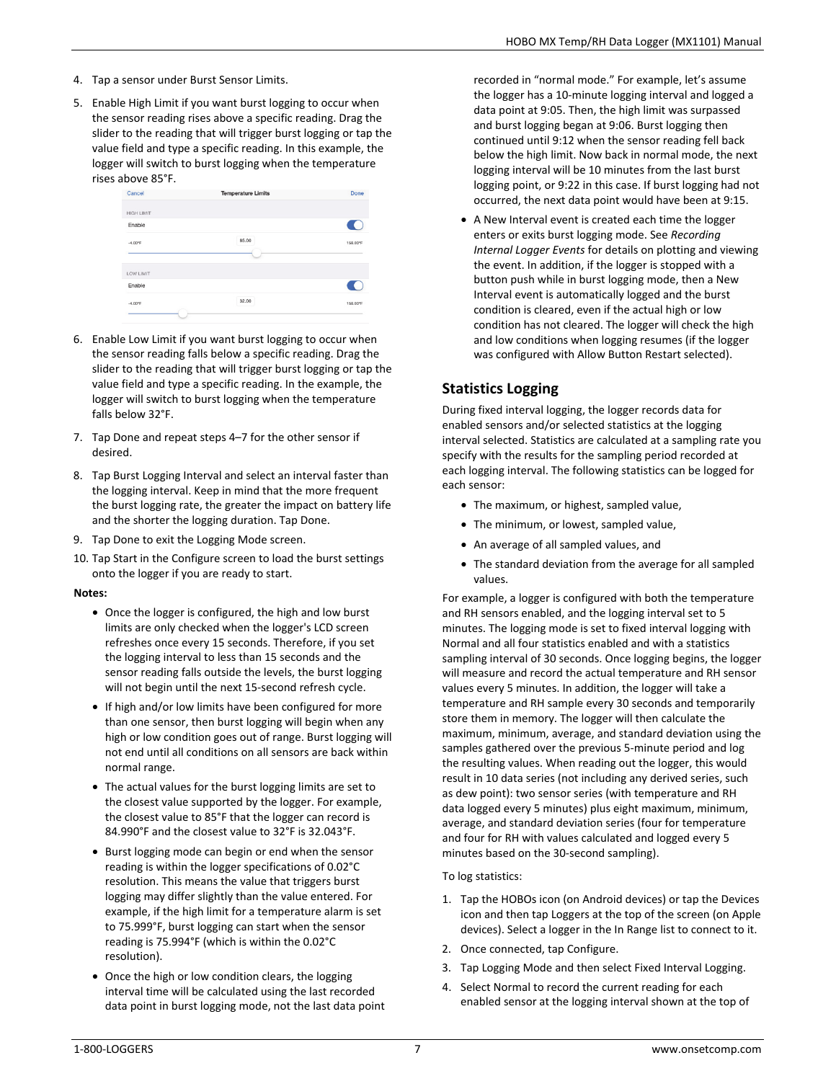- 4. Tap a sensor under Burst Sensor Limits.
- 5. Enable High Limit if you want burst logging to occur when the sensor reading rises above a specific reading. Drag the slider to the reading that will trigger burst logging or tap the value field and type a specific reading. In this example, the logger will switch to burst logging when the temperature rises above 85°F.



- 6. Enable Low Limit if you want burst logging to occur when the sensor reading falls below a specific reading. Drag the slider to the reading that will trigger burst logging or tap the value field and type a specific reading. In the example, the logger will switch to burst logging when the temperature falls below 32°F.
- 7. Tap Done and repeat steps 4–7 for the other sensor if desired.
- 8. Tap Burst Logging Interval and select an interval faster than the logging interval. Keep in mind that the more frequent the burst logging rate, the greater the impact on battery life and the shorter the logging duration. Tap Done.
- 9. Tap Done to exit the Logging Mode screen.
- 10. Tap Start in the Configure screen to load the burst settings onto the logger if you are ready to start.

## **Notes:**

- Once the logger is configured, the high and low burst limits are only checked when the logger's LCD screen refreshes once every 15 seconds. Therefore, if you set the logging interval to less than 15 seconds and the sensor reading falls outside the levels, the burst logging will not begin until the next 15-second refresh cycle.
- If high and/or low limits have been configured for more than one sensor, then burst logging will begin when any high or low condition goes out of range. Burst logging will not end until all conditions on all sensors are back within normal range.
- The actual values for the burst logging limits are set to the closest value supported by the logger. For example, the closest value to 85°F that the logger can record is 84.990°F and the closest value to 32°F is 32.043°F.
- Burst logging mode can begin or end when the sensor reading is within the logger specifications of 0.02°C resolution. This means the value that triggers burst logging may differ slightly than the value entered. For example, if the high limit for a temperature alarm is set to 75.999°F, burst logging can start when the sensor reading is 75.994°F (which is within the 0.02°C resolution).
- Once the high or low condition clears, the logging interval time will be calculated using the last recorded data point in burst logging mode, not the last data point

recorded in "normal mode." For example, let's assume the logger has a 10-minute logging interval and logged a data point at 9:05. Then, the high limit was surpassed and burst logging began at 9:06. Burst logging then continued until 9:12 when the sensor reading fell back below the high limit. Now back in normal mode, the next logging interval will be 10 minutes from the last burst logging point, or 9:22 in this case. If burst logging had not occurred, the next data point would have been at 9:15.

• A New Interval event is created each time the logger enters or exits burst logging mode. See *Recording Internal Logger Events* for details on plotting and viewing the event. In addition, if the logger is stopped with a button push while in burst logging mode, then a New Interval event is automatically logged and the burst condition is cleared, even if the actual high or low condition has not cleared. The logger will check the high and low conditions when logging resumes (if the logger was configured with Allow Button Restart selected).

# **Statistics Logging**

During fixed interval logging, the logger records data for enabled sensors and/or selected statistics at the logging interval selected. Statistics are calculated at a sampling rate you specify with the results for the sampling period recorded at each logging interval. The following statistics can be logged for each sensor:

- The maximum, or highest, sampled value,
- The minimum, or lowest, sampled value,
- An average of all sampled values, and
- The standard deviation from the average for all sampled values.

For example, a logger is configured with both the temperature and RH sensors enabled, and the logging interval set to 5 minutes. The logging mode is set to fixed interval logging with Normal and all four statistics enabled and with a statistics sampling interval of 30 seconds. Once logging begins, the logger will measure and record the actual temperature and RH sensor values every 5 minutes. In addition, the logger will take a temperature and RH sample every 30 seconds and temporarily store them in memory. The logger will then calculate the maximum, minimum, average, and standard deviation using the samples gathered over the previous 5-minute period and log the resulting values. When reading out the logger, this would result in 10 data series (not including any derived series, such as dew point): two sensor series (with temperature and RH data logged every 5 minutes) plus eight maximum, minimum, average, and standard deviation series (four for temperature and four for RH with values calculated and logged every 5 minutes based on the 30-second sampling).

## To log statistics:

- 1. Tap the HOBOs icon (on Android devices) or tap the Devices icon and then tap Loggers at the top of the screen (on Apple devices). Select a logger in the In Range list to connect to it.
- 2. Once connected, tap Configure.
- 3. Tap Logging Mode and then select Fixed Interval Logging.
- 4. Select Normal to record the current reading for each enabled sensor at the logging interval shown at the top of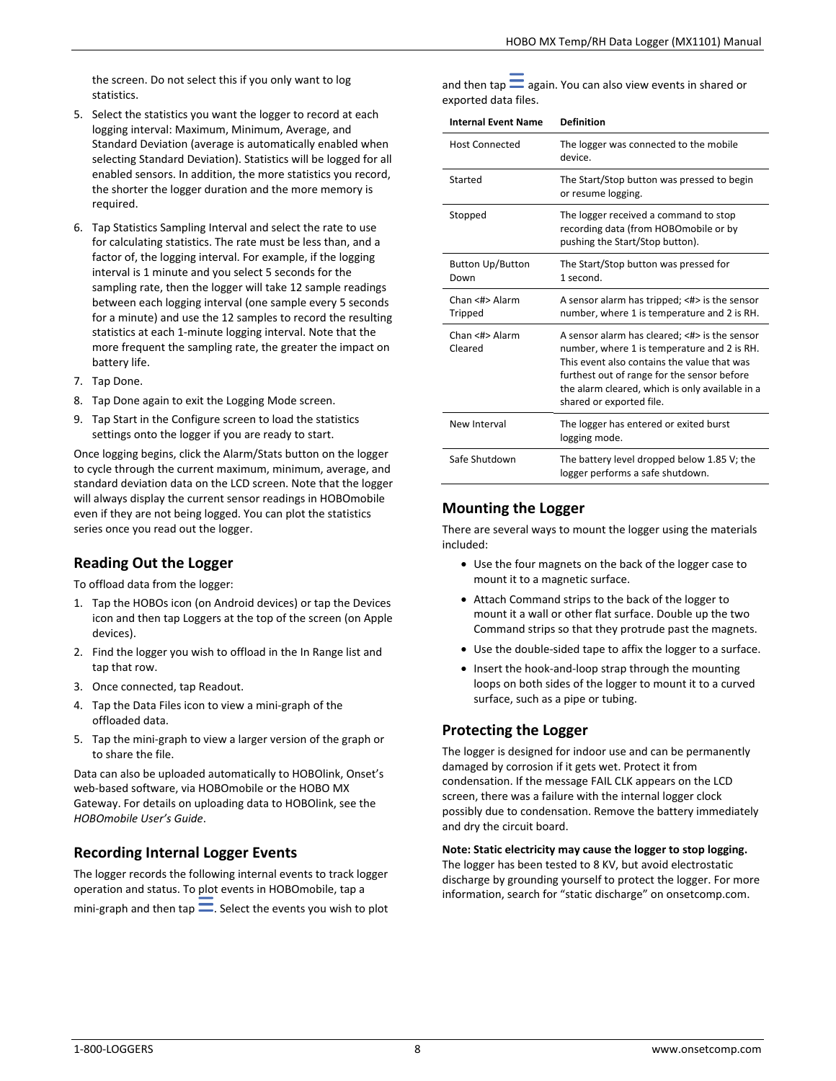the screen. Do not select this if you only want to log statistics.

- 5. Select the statistics you want the logger to record at each logging interval: Maximum, Minimum, Average, and Standard Deviation (average is automatically enabled when selecting Standard Deviation). Statistics will be logged for all enabled sensors. In addition, the more statistics you record, the shorter the logger duration and the more memory is required.
- 6. Tap Statistics Sampling Interval and select the rate to use for calculating statistics. The rate must be less than, and a factor of, the logging interval. For example, if the logging interval is 1 minute and you select 5 seconds for the sampling rate, then the logger will take 12 sample readings between each logging interval (one sample every 5 seconds for a minute) and use the 12 samples to record the resulting statistics at each 1-minute logging interval. Note that the more frequent the sampling rate, the greater the impact on battery life.
- 7. Tap Done.
- 8. Tap Done again to exit the Logging Mode screen.
- 9. Tap Start in the Configure screen to load the statistics settings onto the logger if you are ready to start.

Once logging begins, click the Alarm/Stats button on the logger to cycle through the current maximum, minimum, average, and standard deviation data on the LCD screen. Note that the logger will always display the current sensor readings in HOBOmobile even if they are not being logged. You can plot the statistics series once you read out the logger.

## **Reading Out the Logger**

To offload data from the logger:

- 1. Tap the HOBOs icon (on Android devices) or tap the Devices icon and then tap Loggers at the top of the screen (on Apple devices).
- 2. Find the logger you wish to offload in the In Range list and tap that row.
- 3. Once connected, tap Readout.
- 4. Tap the Data Files icon to view a mini-graph of the offloaded data.
- 5. Tap the mini-graph to view a larger version of the graph or to share the file.

Data can also be uploaded automatically to HOBOlink, Onset's web-based software, via HOBOmobile or the HOBO MX Gateway. For details on uploading data to HOBOlink, see the *HOBOmobile User's Guide*.

# **Recording Internal Logger Events**

The logger records the following internal events to track logger operation and status. To plot events in HOBOmobile, tap a mini-graph and then tap  $\equiv$ . Select the events you wish to plot and then tap  $\equiv$  again. You can also view events in shared or exported data files.

| <b>Internal Event Name</b>      | <b>Definition</b>                                                                                                                                                                                                                                                         |
|---------------------------------|---------------------------------------------------------------------------------------------------------------------------------------------------------------------------------------------------------------------------------------------------------------------------|
| <b>Host Connected</b>           | The logger was connected to the mobile<br>device.                                                                                                                                                                                                                         |
| Started                         | The Start/Stop button was pressed to begin<br>or resume logging.                                                                                                                                                                                                          |
| Stopped                         | The logger received a command to stop<br>recording data (from HOBOmobile or by<br>pushing the Start/Stop button).                                                                                                                                                         |
| <b>Button Up/Button</b><br>Down | The Start/Stop button was pressed for<br>1 second.                                                                                                                                                                                                                        |
| Chan <#> Alarm<br>Tripped       | A sensor alarm has tripped; <#> is the sensor<br>number, where 1 is temperature and 2 is RH.                                                                                                                                                                              |
| Chan <#> Alarm<br>Cleared       | A sensor alarm has cleared; <#> is the sensor<br>number, where 1 is temperature and 2 is RH.<br>This event also contains the value that was<br>furthest out of range for the sensor before<br>the alarm cleared, which is only available in a<br>shared or exported file. |
| New Interval                    | The logger has entered or exited burst<br>logging mode.                                                                                                                                                                                                                   |
| Safe Shutdown                   | The battery level dropped below 1.85 V; the<br>logger performs a safe shutdown.                                                                                                                                                                                           |

# **Mounting the Logger**

There are several ways to mount the logger using the materials included:

- Use the four magnets on the back of the logger case to mount it to a magnetic surface.
- Attach Command strips to the back of the logger to mount it a wall or other flat surface. Double up the two Command strips so that they protrude past the magnets.
- Use the double-sided tape to affix the logger to a surface.
- Insert the hook-and-loop strap through the mounting loops on both sides of the logger to mount it to a curved surface, such as a pipe or tubing.

## **Protecting the Logger**

The logger is designed for indoor use and can be permanently damaged by corrosion if it gets wet. Protect it from condensation. If the message FAIL CLK appears on the LCD screen, there was a failure with the internal logger clock possibly due to condensation. Remove the battery immediately and dry the circuit board.

**Note: Static electricity may cause the logger to stop logging.**

The logger has been tested to 8 KV, but avoid electrostatic discharge by grounding yourself to protect the logger. For more information, search for "static discharge" on onsetcomp.com.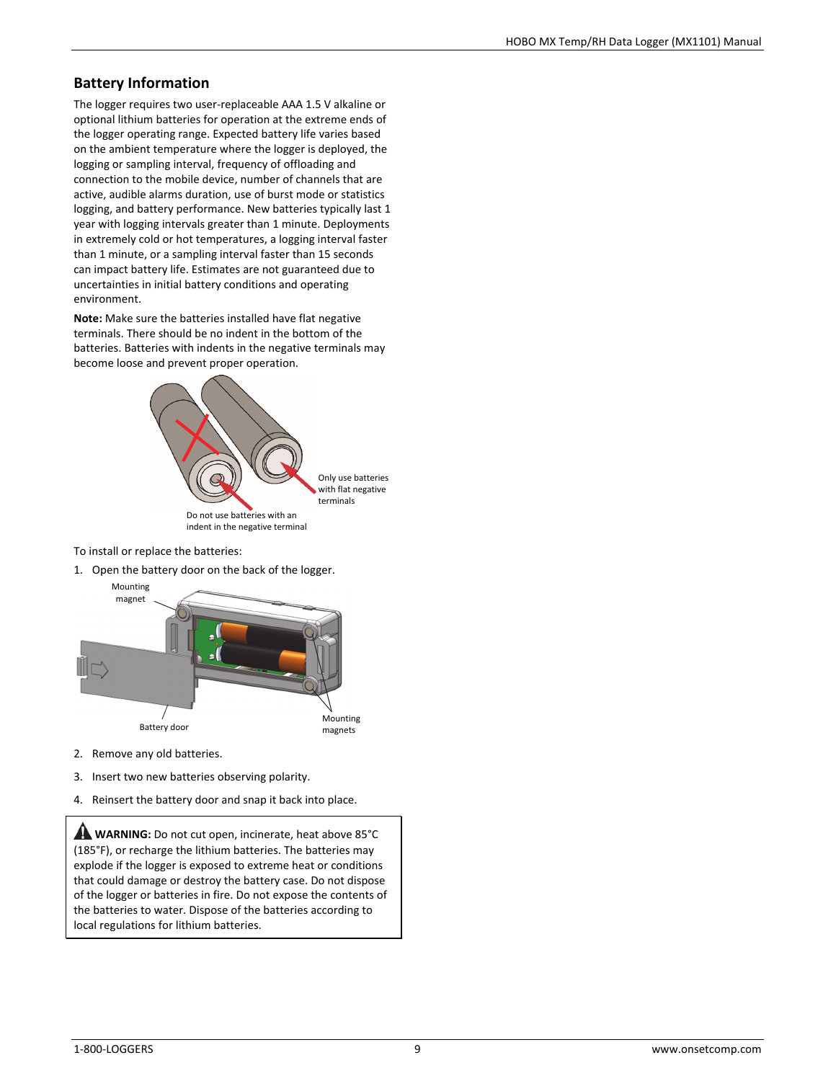# **Battery Information**

The logger requires two user-replaceable AAA 1.5 V alkaline or optional lithium batteries for operation at the extreme ends of the logger operating range. Expected battery life varies based on the ambient temperature where the logger is deployed, the logging or sampling interval, frequency of offloading and connection to the mobile device, number of channels that are active, audible alarms duration, use of burst mode or statistics logging, and battery performance. New batteries typically last 1 year with logging intervals greater than 1 minute. Deployments in extremely cold or hot temperatures, a logging interval faster than 1 minute, or a sampling interval faster than 15 seconds can impact battery life. Estimates are not guaranteed due to uncertainties in initial battery conditions and operating environment.

**Note:** Make sure the batteries installed have flat negative terminals. There should be no indent in the bottom of the batteries. Batteries with indents in the negative terminals may become loose and prevent proper operation.



To install or replace the batteries:

1. Open the battery door on the back of the logger.



- 2. Remove any old batteries.
- 3. Insert two new batteries observing polarity.
- 4. Reinsert the battery door and snap it back into place.

**WARNING:** Do not cut open, incinerate, heat above 85°C (185°F), or recharge the lithium batteries. The batteries may explode if the logger is exposed to extreme heat or conditions that could damage or destroy the battery case. Do not dispose of the logger or batteries in fire. Do not expose the contents of the batteries to water. Dispose of the batteries according to local regulations for lithium batteries.